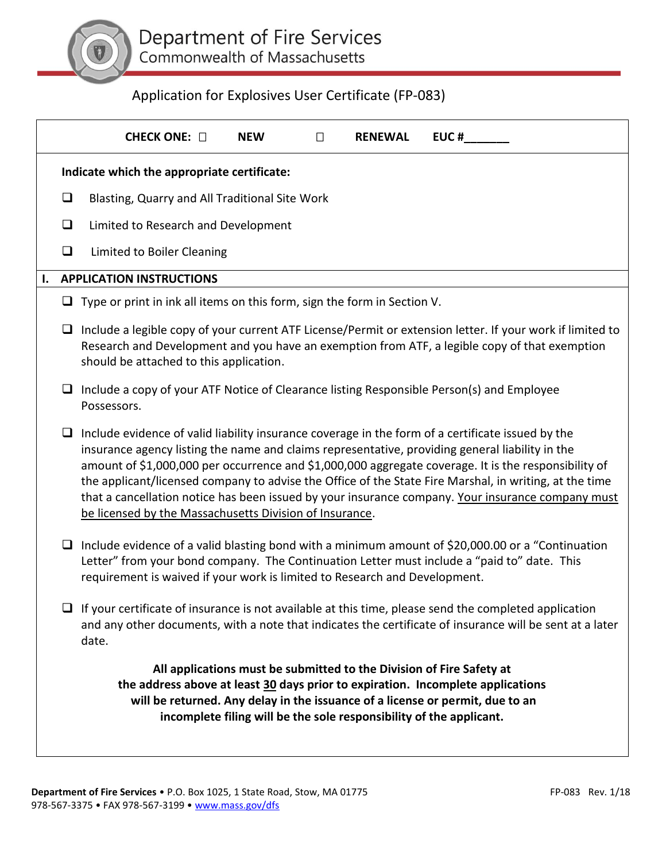

# Application for Explosives User Certificate (FP-083)

|                                                                                                                                                                                                                                                                                                                 |                                             | CHECK ONE: $\square$<br><b>NEW</b><br><b>EUC#</b><br>П<br><b>RENEWAL</b>                                                                                                                                                                                                                                                                                                                                                                                                                                                                                                               |  |  |  |  |  |  |
|-----------------------------------------------------------------------------------------------------------------------------------------------------------------------------------------------------------------------------------------------------------------------------------------------------------------|---------------------------------------------|----------------------------------------------------------------------------------------------------------------------------------------------------------------------------------------------------------------------------------------------------------------------------------------------------------------------------------------------------------------------------------------------------------------------------------------------------------------------------------------------------------------------------------------------------------------------------------------|--|--|--|--|--|--|
|                                                                                                                                                                                                                                                                                                                 | Indicate which the appropriate certificate: |                                                                                                                                                                                                                                                                                                                                                                                                                                                                                                                                                                                        |  |  |  |  |  |  |
|                                                                                                                                                                                                                                                                                                                 | $\Box$                                      | Blasting, Quarry and All Traditional Site Work                                                                                                                                                                                                                                                                                                                                                                                                                                                                                                                                         |  |  |  |  |  |  |
|                                                                                                                                                                                                                                                                                                                 | $\Box$                                      | Limited to Research and Development                                                                                                                                                                                                                                                                                                                                                                                                                                                                                                                                                    |  |  |  |  |  |  |
|                                                                                                                                                                                                                                                                                                                 | $\Box$                                      | Limited to Boiler Cleaning                                                                                                                                                                                                                                                                                                                                                                                                                                                                                                                                                             |  |  |  |  |  |  |
| I.                                                                                                                                                                                                                                                                                                              |                                             | <b>APPLICATION INSTRUCTIONS</b>                                                                                                                                                                                                                                                                                                                                                                                                                                                                                                                                                        |  |  |  |  |  |  |
|                                                                                                                                                                                                                                                                                                                 |                                             | $\Box$ Type or print in ink all items on this form, sign the form in Section V.                                                                                                                                                                                                                                                                                                                                                                                                                                                                                                        |  |  |  |  |  |  |
|                                                                                                                                                                                                                                                                                                                 | ⊔                                           | Include a legible copy of your current ATF License/Permit or extension letter. If your work if limited to<br>Research and Development and you have an exemption from ATF, a legible copy of that exemption<br>should be attached to this application.                                                                                                                                                                                                                                                                                                                                  |  |  |  |  |  |  |
|                                                                                                                                                                                                                                                                                                                 | ❏                                           | Include a copy of your ATF Notice of Clearance listing Responsible Person(s) and Employee<br>Possessors.                                                                                                                                                                                                                                                                                                                                                                                                                                                                               |  |  |  |  |  |  |
|                                                                                                                                                                                                                                                                                                                 | $\Box$                                      | Include evidence of valid liability insurance coverage in the form of a certificate issued by the<br>insurance agency listing the name and claims representative, providing general liability in the<br>amount of \$1,000,000 per occurrence and \$1,000,000 aggregate coverage. It is the responsibility of<br>the applicant/licensed company to advise the Office of the State Fire Marshal, in writing, at the time<br>that a cancellation notice has been issued by your insurance company. Your insurance company must<br>be licensed by the Massachusetts Division of Insurance. |  |  |  |  |  |  |
|                                                                                                                                                                                                                                                                                                                 | ⊔                                           | Include evidence of a valid blasting bond with a minimum amount of \$20,000.00 or a "Continuation"<br>Letter" from your bond company. The Continuation Letter must include a "paid to" date. This<br>requirement is waived if your work is limited to Research and Development.                                                                                                                                                                                                                                                                                                        |  |  |  |  |  |  |
|                                                                                                                                                                                                                                                                                                                 |                                             | $\Box$ If your certificate of insurance is not available at this time, please send the completed application<br>and any other documents, with a note that indicates the certificate of insurance will be sent at a later<br>date.                                                                                                                                                                                                                                                                                                                                                      |  |  |  |  |  |  |
| All applications must be submitted to the Division of Fire Safety at<br>the address above at least 30 days prior to expiration. Incomplete applications<br>will be returned. Any delay in the issuance of a license or permit, due to an<br>incomplete filing will be the sole responsibility of the applicant. |                                             |                                                                                                                                                                                                                                                                                                                                                                                                                                                                                                                                                                                        |  |  |  |  |  |  |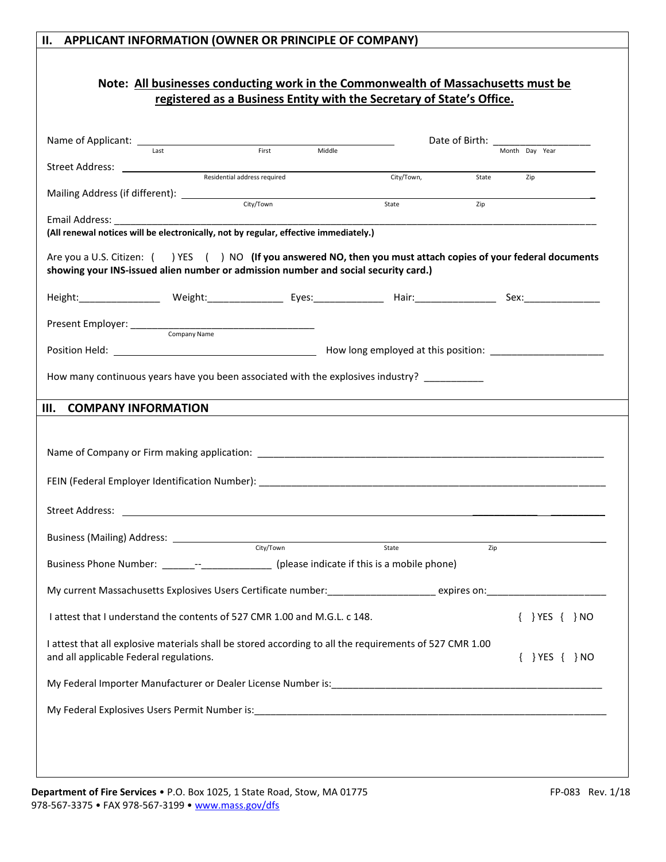# **II. APPLICANT INFORMATION (OWNER OR PRINCIPLE OF COMPANY) Note: All businesses conducting work in the Commonwealth of Massachusetts must be registered as a Business Entity with the Secretary of State's Office.** Name of Applicant:  $\frac{1}{\text{last}}$  Date of Birth: Month Day Year Residential address required City/Town, State Zip City/Town Zip

| Street Address: <u>New York Barnett Address</u>                                                                |                                                                                                                 |            |       |                        |
|----------------------------------------------------------------------------------------------------------------|-----------------------------------------------------------------------------------------------------------------|------------|-------|------------------------|
|                                                                                                                | Residential address required                                                                                    | City/Town, | State | Zip                    |
| Mailing Address (if different): _______________                                                                |                                                                                                                 |            |       |                        |
|                                                                                                                | City/Town                                                                                                       | State      | Zip   |                        |
| Email Address: North and Sensing and Sensing and Sensing and Sensing and Sensing and Sensing and Sensing and S |                                                                                                                 |            |       |                        |
|                                                                                                                | (All renewal notices will be electronically, not by regular, effective immediately.)                            |            |       |                        |
|                                                                                                                | Are you a U.S. Citizen: () YES () NO (If you answered NO, then you must attach copies of your federal documents |            |       |                        |
|                                                                                                                | showing your INS-issued alien number or admission number and social security card.)                             |            |       |                        |
|                                                                                                                |                                                                                                                 |            |       |                        |
|                                                                                                                |                                                                                                                 |            |       |                        |
|                                                                                                                |                                                                                                                 |            |       |                        |
|                                                                                                                |                                                                                                                 |            |       |                        |
|                                                                                                                |                                                                                                                 |            |       |                        |
|                                                                                                                |                                                                                                                 |            |       |                        |
|                                                                                                                |                                                                                                                 |            |       |                        |
|                                                                                                                | How many continuous years have you been associated with the explosives industry? ___________                    |            |       |                        |
|                                                                                                                |                                                                                                                 |            |       |                        |
| <b>COMPANY INFORMATION</b><br>Ш.                                                                               |                                                                                                                 |            |       |                        |
|                                                                                                                |                                                                                                                 |            |       |                        |
|                                                                                                                |                                                                                                                 |            |       |                        |
|                                                                                                                |                                                                                                                 |            |       |                        |
|                                                                                                                |                                                                                                                 |            |       |                        |
|                                                                                                                |                                                                                                                 |            |       |                        |
|                                                                                                                |                                                                                                                 |            |       |                        |
|                                                                                                                |                                                                                                                 |            |       |                        |
|                                                                                                                |                                                                                                                 |            |       |                        |
|                                                                                                                |                                                                                                                 |            |       |                        |
|                                                                                                                | Business (Mailing) Address: <u>CHANNEL City/Town</u> City/Town State                                            |            | Zip   |                        |
|                                                                                                                | Business Phone Number: ________-________________________ (please indicate if this is a mobile phone)            |            |       |                        |
|                                                                                                                |                                                                                                                 |            |       |                        |
|                                                                                                                |                                                                                                                 |            |       |                        |
|                                                                                                                |                                                                                                                 |            |       |                        |
|                                                                                                                | I attest that I understand the contents of 527 CMR 1.00 and M.G.L. c 148.                                       |            |       | $\{\}$ YES $\{\}$ NO   |
|                                                                                                                |                                                                                                                 |            |       |                        |
|                                                                                                                | I attest that all explosive materials shall be stored according to all the requirements of 527 CMR 1.00         |            |       |                        |
| and all applicable Federal regulations.                                                                        |                                                                                                                 |            |       | $\{ \}$ YES $\{ \}$ NO |
|                                                                                                                |                                                                                                                 |            |       |                        |
|                                                                                                                |                                                                                                                 |            |       |                        |
|                                                                                                                |                                                                                                                 |            |       |                        |
|                                                                                                                |                                                                                                                 |            |       |                        |
|                                                                                                                |                                                                                                                 |            |       |                        |
|                                                                                                                |                                                                                                                 |            |       |                        |
|                                                                                                                |                                                                                                                 |            |       |                        |
|                                                                                                                |                                                                                                                 |            |       |                        |